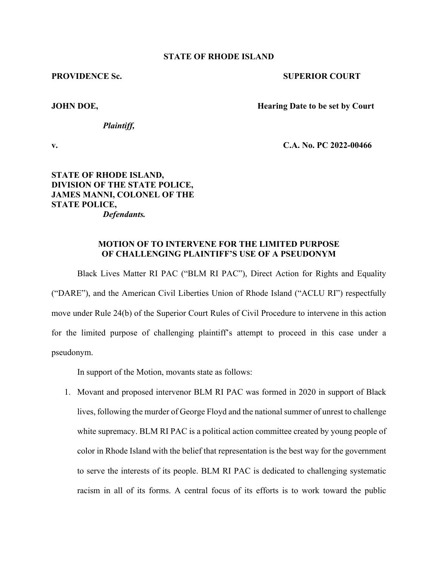## **STATE OF RHODE ISLAND**

## **PROVIDENCE Sc.** SUPERIOR COURT

**JOHN DOE, Hearing Date to be set by Court** 

*Plaintiff,* 

**v. C.A. No. PC 2022-00466**

## **STATE OF RHODE ISLAND, DIVISION OF THE STATE POLICE, JAMES MANNI, COLONEL OF THE STATE POLICE,** *Defendants.*

## **MOTION OF TO INTERVENE FOR THE LIMITED PURPOSE OF CHALLENGING PLAINTIFF'S USE OF A PSEUDONYM**

 Black Lives Matter RI PAC ("BLM RI PAC"), Direct Action for Rights and Equality ("DARE"), and the American Civil Liberties Union of Rhode Island ("ACLU RI") respectfully move under Rule 24(b) of the Superior Court Rules of Civil Procedure to intervene in this action for the limited purpose of challenging plaintiff's attempt to proceed in this case under a pseudonym.

In support of the Motion, movants state as follows:

1. Movant and proposed intervenor BLM RI PAC was formed in 2020 in support of Black lives, following the murder of George Floyd and the national summer of unrest to challenge white supremacy. BLM RI PAC is a political action committee created by young people of color in Rhode Island with the belief that representation is the best way for the government to serve the interests of its people. BLM RI PAC is dedicated to challenging systematic racism in all of its forms. A central focus of its efforts is to work toward the public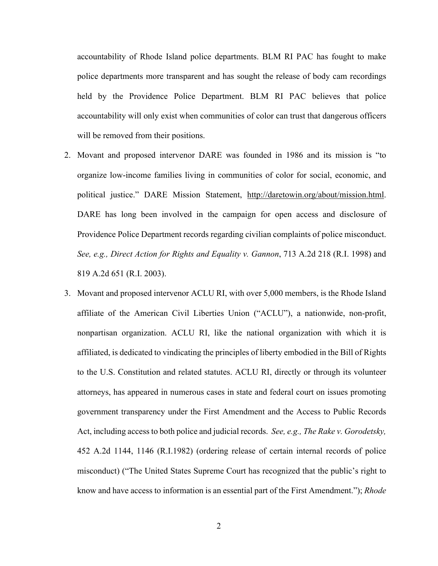accountability of Rhode Island police departments. BLM RI PAC has fought to make police departments more transparent and has sought the release of body cam recordings held by the Providence Police Department. BLM RI PAC believes that police accountability will only exist when communities of color can trust that dangerous officers will be removed from their positions.

- 2. Movant and proposed intervenor DARE was founded in 1986 and its mission is "to organize low-income families living in communities of color for social, economic, and political justice." DARE Mission Statement, http://daretowin.org/about/mission.html. DARE has long been involved in the campaign for open access and disclosure of Providence Police Department records regarding civilian complaints of police misconduct. *See, e.g., Direct Action for Rights and Equality v. Gannon*, 713 A.2d 218 (R.I. 1998) and 819 A.2d 651 (R.I. 2003).
- 3. Movant and proposed intervenor ACLU RI, with over 5,000 members, is the Rhode Island affiliate of the American Civil Liberties Union ("ACLU"), a nationwide, non-profit, nonpartisan organization. ACLU RI, like the national organization with which it is affiliated, is dedicated to vindicating the principles of liberty embodied in the Bill of Rights to the U.S. Constitution and related statutes. ACLU RI, directly or through its volunteer attorneys, has appeared in numerous cases in state and federal court on issues promoting government transparency under the First Amendment and the Access to Public Records Act, including access to both police and judicial records. *See, e.g., The Rake v. Gorodetsky,*  452 A.2d 1144, 1146 (R.I.1982) (ordering release of certain internal records of police misconduct) ("The United States Supreme Court has recognized that the public's right to know and have access to information is an essential part of the First Amendment."); *Rhode*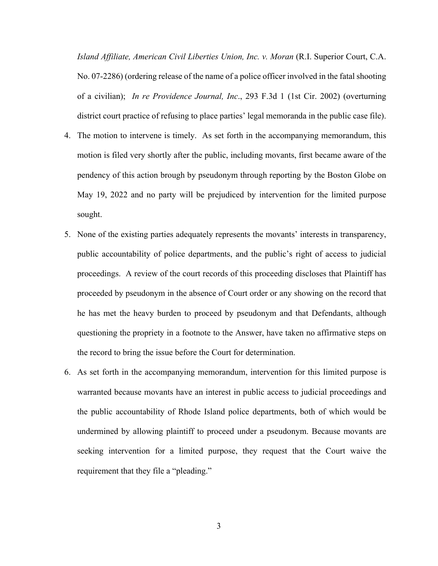*Island Affiliate, American Civil Liberties Union, Inc. v. Moran* (R.I. Superior Court, C.A. No. 07-2286) (ordering release of the name of a police officer involved in the fatal shooting of a civilian); *In re Providence Journal, Inc*., 293 F.3d 1 (1st Cir. 2002) (overturning district court practice of refusing to place parties' legal memoranda in the public case file).

- 4. The motion to intervene is timely. As set forth in the accompanying memorandum, this motion is filed very shortly after the public, including movants, first became aware of the pendency of this action brough by pseudonym through reporting by the Boston Globe on May 19, 2022 and no party will be prejudiced by intervention for the limited purpose sought.
- 5. None of the existing parties adequately represents the movants' interests in transparency, public accountability of police departments, and the public's right of access to judicial proceedings. A review of the court records of this proceeding discloses that Plaintiff has proceeded by pseudonym in the absence of Court order or any showing on the record that he has met the heavy burden to proceed by pseudonym and that Defendants, although questioning the propriety in a footnote to the Answer, have taken no affirmative steps on the record to bring the issue before the Court for determination.
- 6. As set forth in the accompanying memorandum, intervention for this limited purpose is warranted because movants have an interest in public access to judicial proceedings and the public accountability of Rhode Island police departments, both of which would be undermined by allowing plaintiff to proceed under a pseudonym. Because movants are seeking intervention for a limited purpose, they request that the Court waive the requirement that they file a "pleading."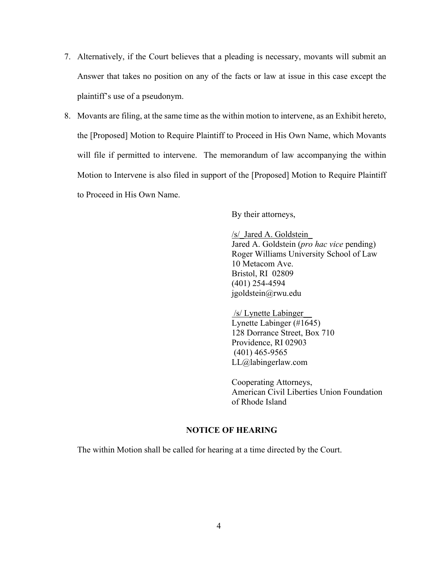- 7. Alternatively, if the Court believes that a pleading is necessary, movants will submit an Answer that takes no position on any of the facts or law at issue in this case except the plaintiff's use of a pseudonym.
- 8. Movants are filing, at the same time as the within motion to intervene, as an Exhibit hereto, the [Proposed] Motion to Require Plaintiff to Proceed in His Own Name, which Movants will file if permitted to intervene. The memorandum of law accompanying the within Motion to Intervene is also filed in support of the [Proposed] Motion to Require Plaintiff to Proceed in His Own Name.

By their attorneys,

/s/\_Jared A. Goldstein\_ Jared A. Goldstein (*pro hac vice* pending) Roger Williams University School of Law 10 Metacom Ave. Bristol, RI 02809 (401) 254-4594 jgoldstein@rwu.edu

 /s/ Lynette Labinger\_\_ Lynette Labinger (#1645) 128 Dorrance Street, Box 710 Providence, RI 02903 (401) 465-9565 LL@labingerlaw.com

Cooperating Attorneys, American Civil Liberties Union Foundation of Rhode Island

# **NOTICE OF HEARING**

The within Motion shall be called for hearing at a time directed by the Court.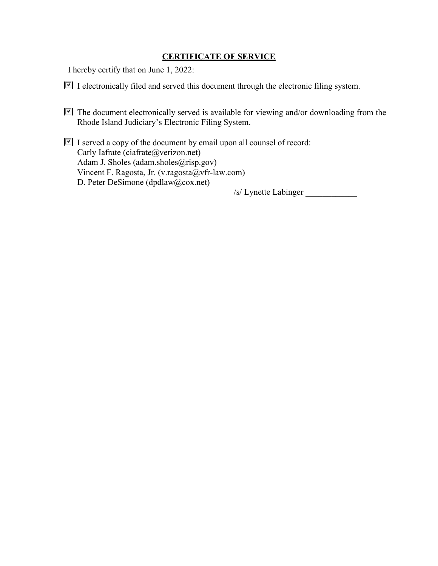# **CERTIFICATE OF SERVICE**

I hereby certify that on June 1, 2022:

- $\blacktriangleright$  I electronically filed and served this document through the electronic filing system.
- The document electronically served is available for viewing and/or downloading from the Rhode Island Judiciary's Electronic Filing System.
- $\blacktriangleright$  I served a copy of the document by email upon all counsel of record: Carly Iafrate (ciafrate@verizon.net) Adam J. Sholes (adam.sholes@risp.gov) Vincent F. Ragosta, Jr. (v.ragosta@vfr-law.com) D. Peter DeSimone (dpdlaw@cox.net)

/s/ Lynette Labinger \_\_\_\_\_\_\_\_\_\_\_\_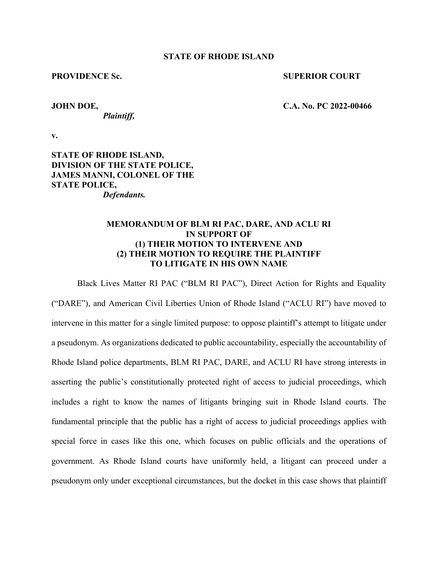#### **STATE OF RHODE ISLAND**

#### **PROVIDENCE Sc.** SUPERIOR COURT

*Plaintiff,* 

**JOHN DOE, C.A. No. PC 2022-00466** 

**v.**

**STATE OF RHODE ISLAND, DIVISION OF THE STATE POLICE, JAMES MANNI, COLONEL OF THE STATE POLICE,** *Defendants.* 

## **MEMORANDUM OF BLM RI PAC, DARE, AND ACLU RI IN SUPPORT OF (1) THEIR MOTION TO INTERVENE AND (2) THEIR MOTION TO REQUIRE THE PLAINTIFF TO LITIGATE IN HIS OWN NAME**

 Black Lives Matter RI PAC ("BLM RI PAC"), Direct Action for Rights and Equality ("DARE"), and American Civil Liberties Union of Rhode Island ("ACLU RI") have moved to intervene in this matter for a single limited purpose: to oppose plaintiff's attempt to litigate under a pseudonym. As organizations dedicated to public accountability, especially the accountability of Rhode Island police departments, BLM RI PAC, DARE, and ACLU RI have strong interests in asserting the public's constitutionally protected right of access to judicial proceedings, which includes a right to know the names of litigants bringing suit in Rhode Island courts. The fundamental principle that the public has a right of access to judicial proceedings applies with special force in cases like this one, which focuses on public officials and the operations of government. As Rhode Island courts have uniformly held, a litigant can proceed under a pseudonym only under exceptional circumstances, but the docket in this case shows that plaintiff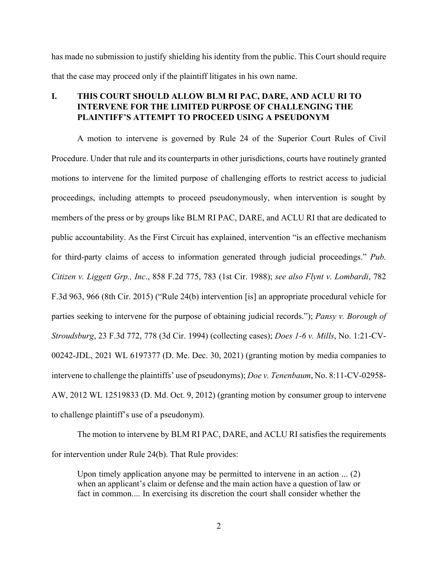has made no submission to justify shielding his identity from the public. This Court should require that the case may proceed only if the plaintiff litigates in his own name.

# **I. THIS COURT SHOULD ALLOW BLM RI PAC, DARE, AND ACLU RI TO INTERVENE FOR THE LIMITED PURPOSE OF CHALLENGING THE PLAINTIFF'S ATTEMPT TO PROCEED USING A PSEUDONYM**

 A motion to intervene is governed by Rule 24 of the Superior Court Rules of Civil Procedure. Under that rule and its counterparts in other jurisdictions, courts have routinely granted motions to intervene for the limited purpose of challenging efforts to restrict access to judicial proceedings, including attempts to proceed pseudonymously, when intervention is sought by members of the press or by groups like BLM RI PAC, DARE, and ACLU RI that are dedicated to public accountability. As the First Circuit has explained, intervention "is an effective mechanism for third-party claims of access to information generated through judicial proceedings." *Pub. Citizen v. Liggett Grp., Inc*., 858 F.2d 775, 783 (1st Cir. 1988); *see also Flynt v. Lombardi*, 782 F.3d 963, 966 (8th Cir. 2015) ("Rule 24(b) intervention [is] an appropriate procedural vehicle for parties seeking to intervene for the purpose of obtaining judicial records."); *Pansy v. Borough of Stroudsburg*, 23 F.3d 772, 778 (3d Cir. 1994) (collecting cases); *Does 1-6 v. Mills*, No. 1:21-CV-00242-JDL, 2021 WL 6197377 (D. Me. Dec. 30, 2021) (granting motion by media companies to intervene to challenge the plaintiffs' use of pseudonyms); *Doe v. Tenenbaum*, No. 8:11-CV-02958- AW, 2012 WL 12519833 (D. Md. Oct. 9, 2012) (granting motion by consumer group to intervene to challenge plaintiff's use of a pseudonym).

 The motion to intervene by BLM RI PAC, DARE, and ACLU RI satisfies the requirements for intervention under Rule 24(b). That Rule provides:

Upon timely application anyone may be permitted to intervene in an action ... (2) when an applicant's claim or defense and the main action have a question of law or fact in common.... In exercising its discretion the court shall consider whether the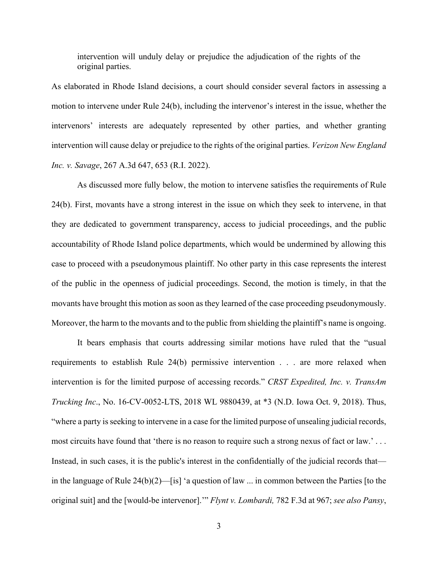intervention will unduly delay or prejudice the adjudication of the rights of the original parties.

As elaborated in Rhode Island decisions, a court should consider several factors in assessing a motion to intervene under Rule 24(b), including the intervenor's interest in the issue, whether the intervenors' interests are adequately represented by other parties, and whether granting intervention will cause delay or prejudice to the rights of the original parties. *Verizon New England Inc. v. Savage*, 267 A.3d 647, 653 (R.I. 2022).

 As discussed more fully below, the motion to intervene satisfies the requirements of Rule 24(b). First, movants have a strong interest in the issue on which they seek to intervene, in that they are dedicated to government transparency, access to judicial proceedings, and the public accountability of Rhode Island police departments, which would be undermined by allowing this case to proceed with a pseudonymous plaintiff. No other party in this case represents the interest of the public in the openness of judicial proceedings. Second, the motion is timely, in that the movants have brought this motion as soon as they learned of the case proceeding pseudonymously. Moreover, the harm to the movants and to the public from shielding the plaintiff's name is ongoing.

 It bears emphasis that courts addressing similar motions have ruled that the "usual requirements to establish Rule 24(b) permissive intervention . . . are more relaxed when intervention is for the limited purpose of accessing records." *CRST Expedited, Inc. v. TransAm Trucking Inc*., No. 16-CV-0052-LTS, 2018 WL 9880439, at \*3 (N.D. Iowa Oct. 9, 2018). Thus, "where a party is seeking to intervene in a case for the limited purpose of unsealing judicial records, most circuits have found that 'there is no reason to require such a strong nexus of fact or law.' . . . Instead, in such cases, it is the public's interest in the confidentially of the judicial records that in the language of Rule 24(b)(2)—[is] 'a question of law ... in common between the Parties [to the original suit] and the [would-be intervenor].'" *Flynt v. Lombardi,* 782 F.3d at 967; *see also Pansy*,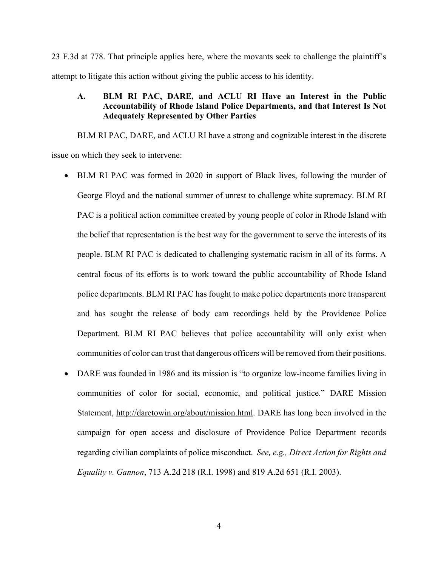23 F.3d at 778. That principle applies here, where the movants seek to challenge the plaintiff's attempt to litigate this action without giving the public access to his identity.

## **A. BLM RI PAC, DARE, and ACLU RI Have an Interest in the Public Accountability of Rhode Island Police Departments, and that Interest Is Not Adequately Represented by Other Parties**

 BLM RI PAC, DARE, and ACLU RI have a strong and cognizable interest in the discrete issue on which they seek to intervene:

- BLM RI PAC was formed in 2020 in support of Black lives, following the murder of George Floyd and the national summer of unrest to challenge white supremacy. BLM RI PAC is a political action committee created by young people of color in Rhode Island with the belief that representation is the best way for the government to serve the interests of its people. BLM RI PAC is dedicated to challenging systematic racism in all of its forms. A central focus of its efforts is to work toward the public accountability of Rhode Island police departments. BLM RI PAC has fought to make police departments more transparent and has sought the release of body cam recordings held by the Providence Police Department. BLM RI PAC believes that police accountability will only exist when communities of color can trust that dangerous officers will be removed from their positions.
- DARE was founded in 1986 and its mission is "to organize low-income families living in communities of color for social, economic, and political justice." DARE Mission Statement, http://daretowin.org/about/mission.html. DARE has long been involved in the campaign for open access and disclosure of Providence Police Department records regarding civilian complaints of police misconduct. *See, e.g., Direct Action for Rights and Equality v. Gannon*, 713 A.2d 218 (R.I. 1998) and 819 A.2d 651 (R.I. 2003).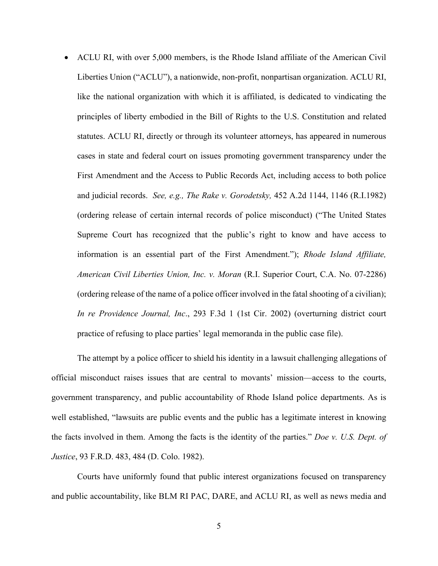ACLU RI, with over 5,000 members, is the Rhode Island affiliate of the American Civil Liberties Union ("ACLU"), a nationwide, non-profit, nonpartisan organization. ACLU RI, like the national organization with which it is affiliated, is dedicated to vindicating the principles of liberty embodied in the Bill of Rights to the U.S. Constitution and related statutes. ACLU RI, directly or through its volunteer attorneys, has appeared in numerous cases in state and federal court on issues promoting government transparency under the First Amendment and the Access to Public Records Act, including access to both police and judicial records. *See, e.g., The Rake v. Gorodetsky,* 452 A.2d 1144, 1146 (R.I.1982) (ordering release of certain internal records of police misconduct) ("The United States Supreme Court has recognized that the public's right to know and have access to information is an essential part of the First Amendment."); *Rhode Island Affiliate, American Civil Liberties Union, Inc. v. Moran* (R.I. Superior Court, C.A. No. 07-2286) (ordering release of the name of a police officer involved in the fatal shooting of a civilian); *In re Providence Journal, Inc*., 293 F.3d 1 (1st Cir. 2002) (overturning district court practice of refusing to place parties' legal memoranda in the public case file).

 The attempt by a police officer to shield his identity in a lawsuit challenging allegations of official misconduct raises issues that are central to movants' mission—access to the courts, government transparency, and public accountability of Rhode Island police departments. As is well established, "lawsuits are public events and the public has a legitimate interest in knowing the facts involved in them. Among the facts is the identity of the parties." *Doe v. U.S. Dept. of Justice*, 93 F.R.D. 483, 484 (D. Colo. 1982).

 Courts have uniformly found that public interest organizations focused on transparency and public accountability, like BLM RI PAC, DARE, and ACLU RI, as well as news media and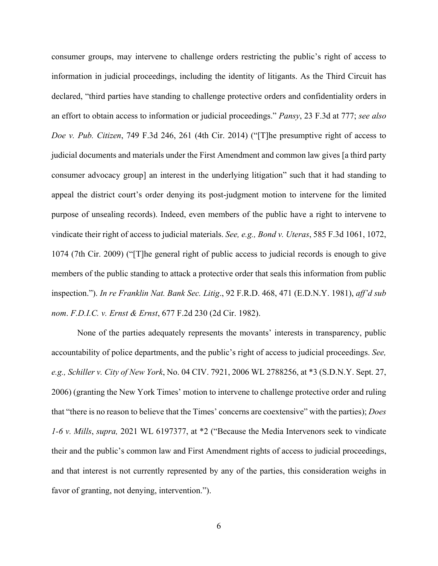consumer groups, may intervene to challenge orders restricting the public's right of access to information in judicial proceedings, including the identity of litigants. As the Third Circuit has declared, "third parties have standing to challenge protective orders and confidentiality orders in an effort to obtain access to information or judicial proceedings." *Pansy*, 23 F.3d at 777; *see also Doe v. Pub. Citizen*, 749 F.3d 246, 261 (4th Cir. 2014) ("[T]he presumptive right of access to judicial documents and materials under the First Amendment and common law gives [a third party consumer advocacy group] an interest in the underlying litigation" such that it had standing to appeal the district court's order denying its post-judgment motion to intervene for the limited purpose of unsealing records). Indeed, even members of the public have a right to intervene to vindicate their right of access to judicial materials. *See, e.g., Bond v. Uteras*, 585 F.3d 1061, 1072, 1074 (7th Cir. 2009) ("[T]he general right of public access to judicial records is enough to give members of the public standing to attack a protective order that seals this information from public inspection."). *In re Franklin Nat. Bank Sec. Litig*., 92 F.R.D. 468, 471 (E.D.N.Y. 1981), *aff'd sub nom*. *F.D.I.C. v. Ernst & Ernst*, 677 F.2d 230 (2d Cir. 1982).

 None of the parties adequately represents the movants' interests in transparency, public accountability of police departments, and the public's right of access to judicial proceedings. *See, e.g., Schiller v. City of New York*, No. 04 CIV. 7921, 2006 WL 2788256, at \*3 (S.D.N.Y. Sept. 27, 2006) (granting the New York Times' motion to intervene to challenge protective order and ruling that "there is no reason to believe that the Times' concerns are coextensive" with the parties); *Does 1-6 v. Mills*, *supra,* 2021 WL 6197377, at \*2 ("Because the Media Intervenors seek to vindicate their and the public's common law and First Amendment rights of access to judicial proceedings, and that interest is not currently represented by any of the parties, this consideration weighs in favor of granting, not denying, intervention.").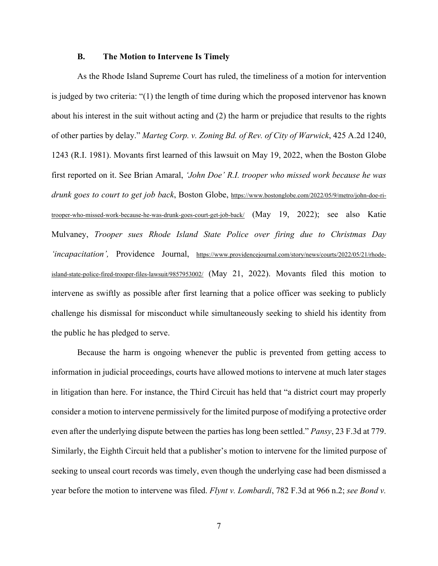#### **B. The Motion to Intervene Is Timely**

 As the Rhode Island Supreme Court has ruled, the timeliness of a motion for intervention is judged by two criteria: "(1) the length of time during which the proposed intervenor has known about his interest in the suit without acting and (2) the harm or prejudice that results to the rights of other parties by delay." *Marteg Corp. v. Zoning Bd. of Rev. of City of Warwick*, 425 A.2d 1240, 1243 (R.I. 1981). Movants first learned of this lawsuit on May 19, 2022, when the Boston Globe first reported on it. See Brian Amaral, *'John Doe' R.I. trooper who missed work because he was drunk goes to court to get job back*, Boston Globe, https://www.bostonglobe.com/2022/05/9/metro/john-doe-ritrooper-who-missed-work-because-he-was-drunk-goes-court-get-job-back/ (May 19, 2022); see also Katie Mulvaney, *Trooper sues Rhode Island State Police over firing due to Christmas Day 'incapacitation',* Providence Journal, https://www.providencejournal.com/story/news/courts/2022/05/21/rhodeisland-state-police-fired-trooper-files-lawsuit/9857953002/ (May 21, 2022). Movants filed this motion to intervene as swiftly as possible after first learning that a police officer was seeking to publicly challenge his dismissal for misconduct while simultaneously seeking to shield his identity from the public he has pledged to serve.

 Because the harm is ongoing whenever the public is prevented from getting access to information in judicial proceedings, courts have allowed motions to intervene at much later stages in litigation than here. For instance, the Third Circuit has held that "a district court may properly consider a motion to intervene permissively for the limited purpose of modifying a protective order even after the underlying dispute between the parties has long been settled." *Pansy*, 23 F.3d at 779. Similarly, the Eighth Circuit held that a publisher's motion to intervene for the limited purpose of seeking to unseal court records was timely, even though the underlying case had been dismissed a year before the motion to intervene was filed. *Flynt v. Lombardi*, 782 F.3d at 966 n.2; *see Bond v.*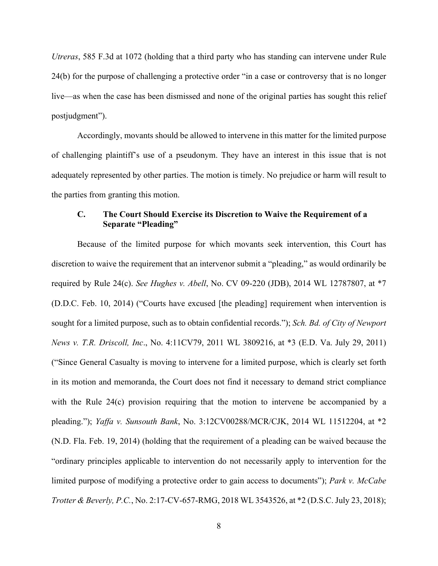*Utreras*, 585 F.3d at 1072 (holding that a third party who has standing can intervene under Rule 24(b) for the purpose of challenging a protective order "in a case or controversy that is no longer live—as when the case has been dismissed and none of the original parties has sought this relief postjudgment").

 Accordingly, movants should be allowed to intervene in this matter for the limited purpose of challenging plaintiff's use of a pseudonym. They have an interest in this issue that is not adequately represented by other parties. The motion is timely. No prejudice or harm will result to the parties from granting this motion.

# **C. The Court Should Exercise its Discretion to Waive the Requirement of a Separate "Pleading"**

 Because of the limited purpose for which movants seek intervention, this Court has discretion to waive the requirement that an intervenor submit a "pleading," as would ordinarily be required by Rule 24(c). *See Hughes v. Abell*, No. CV 09-220 (JDB), 2014 WL 12787807, at \*7 (D.D.C. Feb. 10, 2014) ("Courts have excused [the pleading] requirement when intervention is sought for a limited purpose, such as to obtain confidential records."); *Sch. Bd. of City of Newport News v. T.R. Driscoll, Inc*., No. 4:11CV79, 2011 WL 3809216, at \*3 (E.D. Va. July 29, 2011) ("Since General Casualty is moving to intervene for a limited purpose, which is clearly set forth in its motion and memoranda, the Court does not find it necessary to demand strict compliance with the Rule 24(c) provision requiring that the motion to intervene be accompanied by a pleading."); *Yaffa v. Sunsouth Bank*, No. 3:12CV00288/MCR/CJK, 2014 WL 11512204, at \*2 (N.D. Fla. Feb. 19, 2014) (holding that the requirement of a pleading can be waived because the "ordinary principles applicable to intervention do not necessarily apply to intervention for the limited purpose of modifying a protective order to gain access to documents"); *Park v. McCabe Trotter & Beverly, P.C.*, No. 2:17-CV-657-RMG, 2018 WL 3543526, at \*2 (D.S.C. July 23, 2018);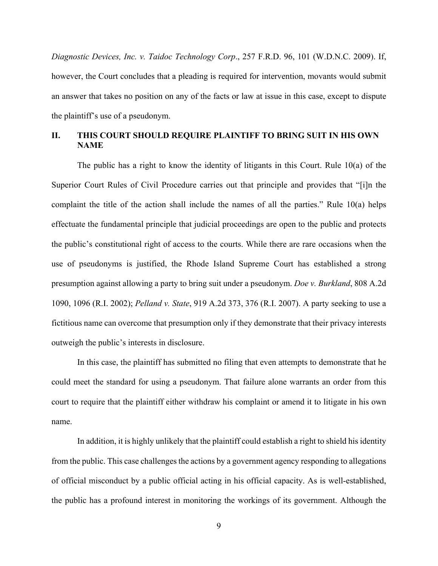*Diagnostic Devices, Inc. v. Taidoc Technology Corp*., 257 F.R.D. 96, 101 (W.D.N.C. 2009). If, however, the Court concludes that a pleading is required for intervention, movants would submit an answer that takes no position on any of the facts or law at issue in this case, except to dispute the plaintiff's use of a pseudonym.

# **II. THIS COURT SHOULD REQUIRE PLAINTIFF TO BRING SUIT IN HIS OWN NAME**

The public has a right to know the identity of litigants in this Court. Rule 10(a) of the Superior Court Rules of Civil Procedure carries out that principle and provides that "[i]n the complaint the title of the action shall include the names of all the parties." Rule 10(a) helps effectuate the fundamental principle that judicial proceedings are open to the public and protects the public's constitutional right of access to the courts. While there are rare occasions when the use of pseudonyms is justified, the Rhode Island Supreme Court has established a strong presumption against allowing a party to bring suit under a pseudonym. *Doe v. Burkland*, 808 A.2d 1090, 1096 (R.I. 2002); *Pelland v. State*, 919 A.2d 373, 376 (R.I. 2007). A party seeking to use a fictitious name can overcome that presumption only if they demonstrate that their privacy interests outweigh the public's interests in disclosure.

In this case, the plaintiff has submitted no filing that even attempts to demonstrate that he could meet the standard for using a pseudonym. That failure alone warrants an order from this court to require that the plaintiff either withdraw his complaint or amend it to litigate in his own name.

In addition, it is highly unlikely that the plaintiff could establish a right to shield his identity from the public. This case challenges the actions by a government agency responding to allegations of official misconduct by a public official acting in his official capacity. As is well-established, the public has a profound interest in monitoring the workings of its government. Although the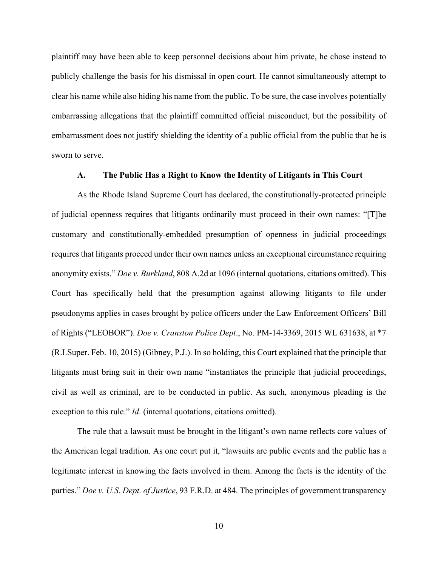plaintiff may have been able to keep personnel decisions about him private, he chose instead to publicly challenge the basis for his dismissal in open court. He cannot simultaneously attempt to clear his name while also hiding his name from the public. To be sure, the case involves potentially embarrassing allegations that the plaintiff committed official misconduct, but the possibility of embarrassment does not justify shielding the identity of a public official from the public that he is sworn to serve.

#### **A. The Public Has a Right to Know the Identity of Litigants in This Court**

As the Rhode Island Supreme Court has declared, the constitutionally-protected principle of judicial openness requires that litigants ordinarily must proceed in their own names: "[T]he customary and constitutionally-embedded presumption of openness in judicial proceedings requires that litigants proceed under their own names unless an exceptional circumstance requiring anonymity exists." *Doe v. Burkland*, 808 A.2d at 1096 (internal quotations, citations omitted). This Court has specifically held that the presumption against allowing litigants to file under pseudonyms applies in cases brought by police officers under the Law Enforcement Officers' Bill of Rights ("LEOBOR"). *Doe v. Cranston Police Dept*., No. PM-14-3369, 2015 WL 631638, at \*7 (R.I.Super. Feb. 10, 2015) (Gibney, P.J.). In so holding, this Court explained that the principle that litigants must bring suit in their own name "instantiates the principle that judicial proceedings, civil as well as criminal, are to be conducted in public. As such, anonymous pleading is the exception to this rule." *Id*. (internal quotations, citations omitted).

The rule that a lawsuit must be brought in the litigant's own name reflects core values of the American legal tradition. As one court put it, "lawsuits are public events and the public has a legitimate interest in knowing the facts involved in them. Among the facts is the identity of the parties." *Doe v. U.S. Dept. of Justice*, 93 F.R.D. at 484. The principles of government transparency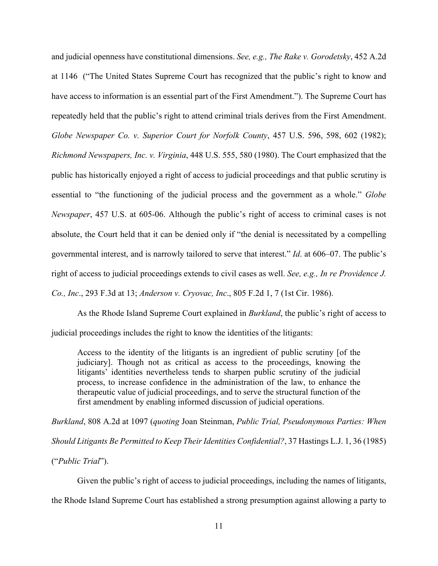and judicial openness have constitutional dimensions. *See, e.g., The Rake v. Gorodetsky*, 452 A.2d at 1146 ("The United States Supreme Court has recognized that the public's right to know and have access to information is an essential part of the First Amendment."). The Supreme Court has repeatedly held that the public's right to attend criminal trials derives from the First Amendment. *Globe Newspaper Co. v. Superior Court for Norfolk County*, 457 U.S. 596, 598, 602 (1982); *Richmond Newspapers, Inc. v. Virginia*, 448 U.S. 555, 580 (1980). The Court emphasized that the public has historically enjoyed a right of access to judicial proceedings and that public scrutiny is essential to "the functioning of the judicial process and the government as a whole." *Globe Newspaper*, 457 U.S. at 605-06. Although the public's right of access to criminal cases is not absolute, the Court held that it can be denied only if "the denial is necessitated by a compelling governmental interest, and is narrowly tailored to serve that interest." *Id*. at 606–07. The public's right of access to judicial proceedings extends to civil cases as well. *See, e.g., In re Providence J. Co., Inc*., 293 F.3d at 13; *Anderson v. Cryovac, Inc*., 805 F.2d 1, 7 (1st Cir. 1986).

As the Rhode Island Supreme Court explained in *Burkland*, the public's right of access to judicial proceedings includes the right to know the identities of the litigants:

Access to the identity of the litigants is an ingredient of public scrutiny [of the judiciary]. Though not as critical as access to the proceedings, knowing the litigants' identities nevertheless tends to sharpen public scrutiny of the judicial process, to increase confidence in the administration of the law, to enhance the therapeutic value of judicial proceedings, and to serve the structural function of the first amendment by enabling informed discussion of judicial operations.

*Burkland*, 808 A.2d at 1097 (*quoting* Joan Steinman, *Public Trial, Pseudonymous Parties: When Should Litigants Be Permitted to Keep Their Identities Confidential?*, 37 Hastings L.J. 1, 36 (1985) ("*Public Trial*").

Given the public's right of access to judicial proceedings, including the names of litigants, the Rhode Island Supreme Court has established a strong presumption against allowing a party to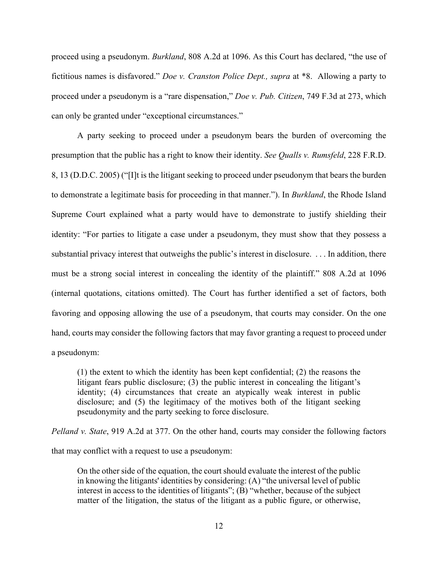proceed using a pseudonym. *Burkland*, 808 A.2d at 1096. As this Court has declared, "the use of fictitious names is disfavored." *Doe v. Cranston Police Dept., supra* at \*8. Allowing a party to proceed under a pseudonym is a "rare dispensation," *Doe v. Pub. Citizen*, 749 F.3d at 273, which can only be granted under "exceptional circumstances."

A party seeking to proceed under a pseudonym bears the burden of overcoming the presumption that the public has a right to know their identity. *See Qualls v. Rumsfeld*, 228 F.R.D. 8, 13 (D.D.C. 2005) ("[I]t is the litigant seeking to proceed under pseudonym that bears the burden to demonstrate a legitimate basis for proceeding in that manner."). In *Burkland*, the Rhode Island Supreme Court explained what a party would have to demonstrate to justify shielding their identity: "For parties to litigate a case under a pseudonym, they must show that they possess a substantial privacy interest that outweighs the public's interest in disclosure. . . . In addition, there must be a strong social interest in concealing the identity of the plaintiff." 808 A.2d at 1096 (internal quotations, citations omitted). The Court has further identified a set of factors, both favoring and opposing allowing the use of a pseudonym, that courts may consider. On the one hand, courts may consider the following factors that may favor granting a request to proceed under a pseudonym:

(1) the extent to which the identity has been kept confidential; (2) the reasons the litigant fears public disclosure; (3) the public interest in concealing the litigant's identity; (4) circumstances that create an atypically weak interest in public disclosure; and (5) the legitimacy of the motives both of the litigant seeking pseudonymity and the party seeking to force disclosure.

*Pelland v. State*, 919 A.2d at 377. On the other hand, courts may consider the following factors

that may conflict with a request to use a pseudonym:

On the other side of the equation, the court should evaluate the interest of the public in knowing the litigants' identities by considering: (A) "the universal level of public interest in access to the identities of litigants"; (B) "whether, because of the subject matter of the litigation, the status of the litigant as a public figure, or otherwise,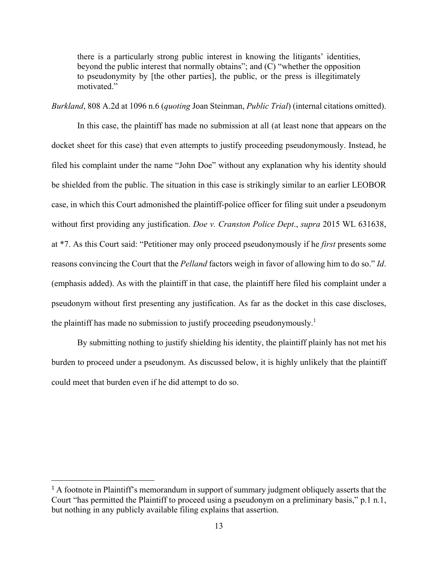there is a particularly strong public interest in knowing the litigants' identities, beyond the public interest that normally obtains"; and (C) "whether the opposition to pseudonymity by [the other parties], the public, or the press is illegitimately motivated."

*Burkland*, 808 A.2d at 1096 n.6 (*quoting* Joan Steinman, *Public Trial*) (internal citations omitted).

 In this case, the plaintiff has made no submission at all (at least none that appears on the docket sheet for this case) that even attempts to justify proceeding pseudonymously. Instead, he filed his complaint under the name "John Doe" without any explanation why his identity should be shielded from the public. The situation in this case is strikingly similar to an earlier LEOBOR case, in which this Court admonished the plaintiff-police officer for filing suit under a pseudonym without first providing any justification. *Doe v. Cranston Police Dept*., *supra* 2015 WL 631638, at \*7. As this Court said: "Petitioner may only proceed pseudonymously if he *first* presents some reasons convincing the Court that the *Pelland* factors weigh in favor of allowing him to do so." *Id*. (emphasis added). As with the plaintiff in that case, the plaintiff here filed his complaint under a pseudonym without first presenting any justification. As far as the docket in this case discloses, the plaintiff has made no submission to justify proceeding pseudonymously.<sup>1</sup>

By submitting nothing to justify shielding his identity, the plaintiff plainly has not met his burden to proceed under a pseudonym. As discussed below, it is highly unlikely that the plaintiff could meet that burden even if he did attempt to do so.

<sup>&</sup>lt;sup>1</sup> A footnote in Plaintiff's memorandum in support of summary judgment obliquely asserts that the Court "has permitted the Plaintiff to proceed using a pseudonym on a preliminary basis," p.1 n.1, but nothing in any publicly available filing explains that assertion.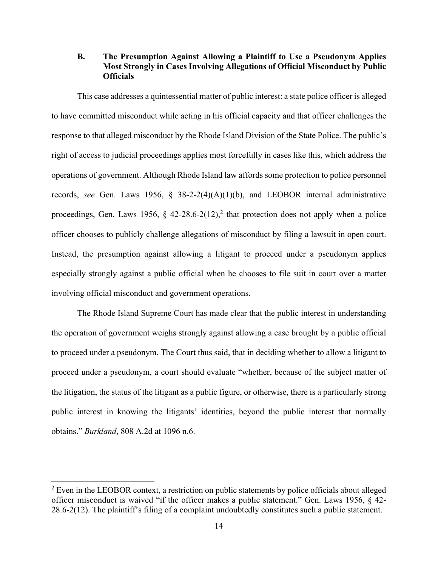## **B. The Presumption Against Allowing a Plaintiff to Use a Pseudonym Applies Most Strongly in Cases Involving Allegations of Official Misconduct by Public Officials**

This case addresses a quintessential matter of public interest: a state police officer is alleged to have committed misconduct while acting in his official capacity and that officer challenges the response to that alleged misconduct by the Rhode Island Division of the State Police. The public's right of access to judicial proceedings applies most forcefully in cases like this, which address the operations of government. Although Rhode Island law affords some protection to police personnel records, *see* Gen. Laws 1956, § 38-2-2(4)(A)(1)(b), and LEOBOR internal administrative proceedings, Gen. Laws 1956, § 42-28.6-2(12),<sup>2</sup> that protection does not apply when a police officer chooses to publicly challenge allegations of misconduct by filing a lawsuit in open court. Instead, the presumption against allowing a litigant to proceed under a pseudonym applies especially strongly against a public official when he chooses to file suit in court over a matter involving official misconduct and government operations.

 The Rhode Island Supreme Court has made clear that the public interest in understanding the operation of government weighs strongly against allowing a case brought by a public official to proceed under a pseudonym. The Court thus said, that in deciding whether to allow a litigant to proceed under a pseudonym, a court should evaluate "whether, because of the subject matter of the litigation, the status of the litigant as a public figure, or otherwise, there is a particularly strong public interest in knowing the litigants' identities, beyond the public interest that normally obtains." *Burkland*, 808 A.2d at 1096 n.6.

 $2$  Even in the LEOBOR context, a restriction on public statements by police officials about alleged officer misconduct is waived "if the officer makes a public statement." Gen. Laws 1956, § 42- 28.6-2(12). The plaintiff's filing of a complaint undoubtedly constitutes such a public statement.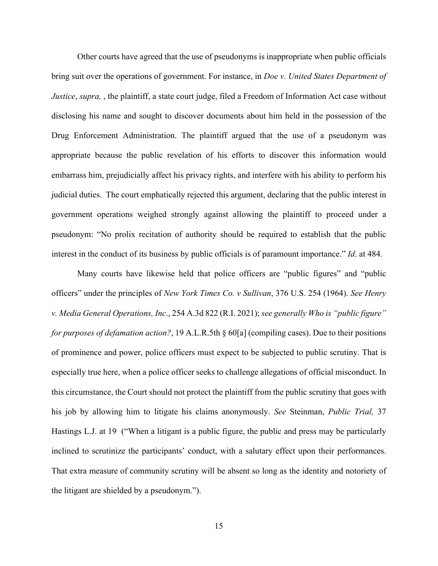Other courts have agreed that the use of pseudonyms is inappropriate when public officials bring suit over the operations of government. For instance, in *Doe v. United States Department of Justice*, *supra,* , the plaintiff, a state court judge, filed a Freedom of Information Act case without disclosing his name and sought to discover documents about him held in the possession of the Drug Enforcement Administration. The plaintiff argued that the use of a pseudonym was appropriate because the public revelation of his efforts to discover this information would embarrass him, prejudicially affect his privacy rights, and interfere with his ability to perform his judicial duties. The court emphatically rejected this argument, declaring that the public interest in government operations weighed strongly against allowing the plaintiff to proceed under a pseudonym: "No prolix recitation of authority should be required to establish that the public interest in the conduct of its business by public officials is of paramount importance." *Id*. at 484.

 Many courts have likewise held that police officers are "public figures" and "public officers" under the principles of *New York Times Co. v Sullivan*, 376 U.S. 254 (1964). *See Henry v. Media General Operations, Inc*., 254 A.3d 822 (R.I. 2021); *see generally Who is "public figure" for purposes of defamation action?*, 19 A.L.R.5th § 60[a] (compiling cases). Due to their positions of prominence and power, police officers must expect to be subjected to public scrutiny. That is especially true here, when a police officer seeks to challenge allegations of official misconduct. In this circumstance, the Court should not protect the plaintiff from the public scrutiny that goes with his job by allowing him to litigate his claims anonymously. *See* Steinman, *Public Trial,* 37 Hastings L.J. at 19 ("When a litigant is a public figure, the public and press may be particularly inclined to scrutinize the participants' conduct, with a salutary effect upon their performances. That extra measure of community scrutiny will be absent so long as the identity and notoriety of the litigant are shielded by a pseudonym.").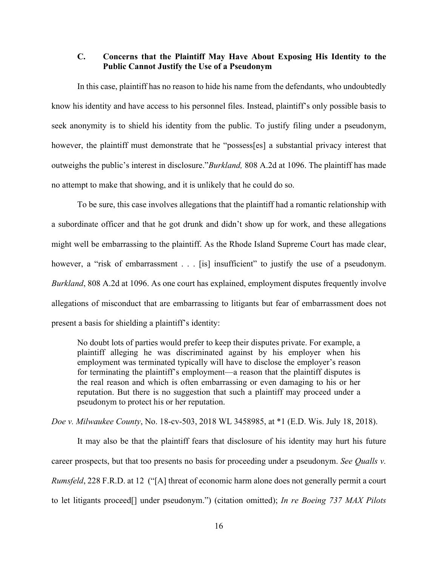## **C. Concerns that the Plaintiff May Have About Exposing His Identity to the Public Cannot Justify the Use of a Pseudonym**

In this case, plaintiff has no reason to hide his name from the defendants, who undoubtedly know his identity and have access to his personnel files. Instead, plaintiff's only possible basis to seek anonymity is to shield his identity from the public. To justify filing under a pseudonym, however, the plaintiff must demonstrate that he "possess[es] a substantial privacy interest that outweighs the public's interest in disclosure."*Burkland,* 808 A.2d at 1096. The plaintiff has made no attempt to make that showing, and it is unlikely that he could do so.

To be sure, this case involves allegations that the plaintiff had a romantic relationship with a subordinate officer and that he got drunk and didn't show up for work, and these allegations might well be embarrassing to the plaintiff. As the Rhode Island Supreme Court has made clear, however, a "risk of embarrassment . . . [is] insufficient" to justify the use of a pseudonym. *Burkland*, 808 A.2d at 1096. As one court has explained, employment disputes frequently involve allegations of misconduct that are embarrassing to litigants but fear of embarrassment does not present a basis for shielding a plaintiff's identity:

No doubt lots of parties would prefer to keep their disputes private. For example, a plaintiff alleging he was discriminated against by his employer when his employment was terminated typically will have to disclose the employer's reason for terminating the plaintiff's employment—a reason that the plaintiff disputes is the real reason and which is often embarrassing or even damaging to his or her reputation. But there is no suggestion that such a plaintiff may proceed under a pseudonym to protect his or her reputation.

*Doe v. Milwaukee County*, No. 18-cv-503, 2018 WL 3458985, at \*1 (E.D. Wis. July 18, 2018).

 It may also be that the plaintiff fears that disclosure of his identity may hurt his future career prospects, but that too presents no basis for proceeding under a pseudonym. *See Qualls v. Rumsfeld*, 228 F.R.D. at 12 ("[A] threat of economic harm alone does not generally permit a court to let litigants proceed[] under pseudonym.") (citation omitted); *In re Boeing 737 MAX Pilots*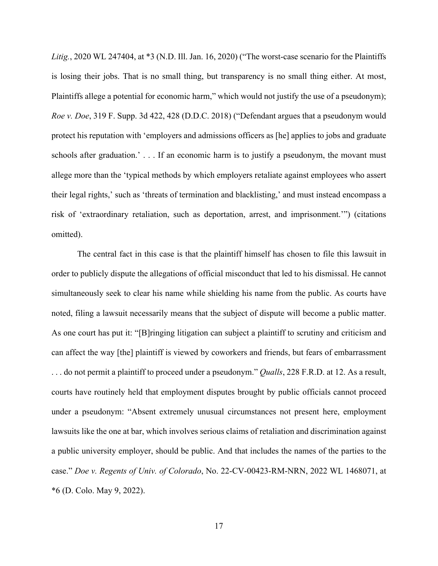*Litig.*, 2020 WL 247404, at \*3 (N.D. Ill. Jan. 16, 2020) ("The worst-case scenario for the Plaintiffs is losing their jobs. That is no small thing, but transparency is no small thing either. At most, Plaintiffs allege a potential for economic harm," which would not justify the use of a pseudonym); *Roe v. Doe*, 319 F. Supp. 3d 422, 428 (D.D.C. 2018) ("Defendant argues that a pseudonym would protect his reputation with 'employers and admissions officers as [he] applies to jobs and graduate schools after graduation.' . . . If an economic harm is to justify a pseudonym, the movant must allege more than the 'typical methods by which employers retaliate against employees who assert their legal rights,' such as 'threats of termination and blacklisting,' and must instead encompass a risk of 'extraordinary retaliation, such as deportation, arrest, and imprisonment.'") (citations omitted).

The central fact in this case is that the plaintiff himself has chosen to file this lawsuit in order to publicly dispute the allegations of official misconduct that led to his dismissal. He cannot simultaneously seek to clear his name while shielding his name from the public. As courts have noted, filing a lawsuit necessarily means that the subject of dispute will become a public matter. As one court has put it: "[B]ringing litigation can subject a plaintiff to scrutiny and criticism and can affect the way [the] plaintiff is viewed by coworkers and friends, but fears of embarrassment . . . do not permit a plaintiff to proceed under a pseudonym." *Qualls*, 228 F.R.D. at 12. As a result, courts have routinely held that employment disputes brought by public officials cannot proceed under a pseudonym: "Absent extremely unusual circumstances not present here, employment lawsuits like the one at bar, which involves serious claims of retaliation and discrimination against a public university employer, should be public. And that includes the names of the parties to the case." *Doe v. Regents of Univ. of Colorado*, No. 22-CV-00423-RM-NRN, 2022 WL 1468071, at \*6 (D. Colo. May 9, 2022).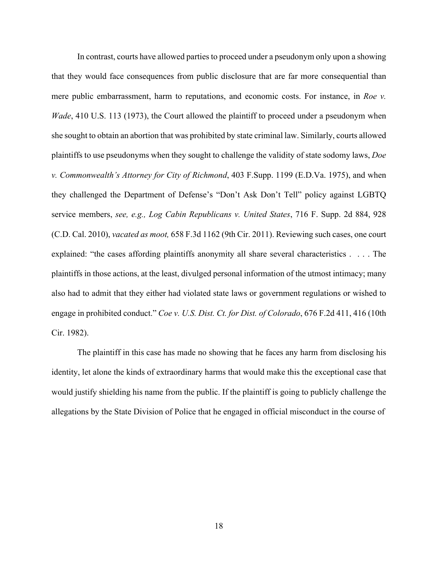In contrast, courts have allowed parties to proceed under a pseudonym only upon a showing that they would face consequences from public disclosure that are far more consequential than mere public embarrassment, harm to reputations, and economic costs. For instance, in *Roe v. Wade*, 410 U.S. 113 (1973), the Court allowed the plaintiff to proceed under a pseudonym when she sought to obtain an abortion that was prohibited by state criminal law. Similarly, courts allowed plaintiffs to use pseudonyms when they sought to challenge the validity of state sodomy laws, *Doe v. Commonwealth's Attorney for City of Richmond*, 403 F.Supp. 1199 (E.D.Va. 1975), and when they challenged the Department of Defense's "Don't Ask Don't Tell" policy against LGBTQ service members, *see, e.g., Log Cabin Republicans v. United States*, 716 F. Supp. 2d 884, 928 (C.D. Cal. 2010), *vacated as moot,* 658 F.3d 1162 (9th Cir. 2011). Reviewing such cases, one court explained: "the cases affording plaintiffs anonymity all share several characteristics . . . . The plaintiffs in those actions, at the least, divulged personal information of the utmost intimacy; many also had to admit that they either had violated state laws or government regulations or wished to engage in prohibited conduct." *Coe v. U.S. Dist. Ct. for Dist. of Colorado*, 676 F.2d 411, 416 (10th Cir. 1982).

The plaintiff in this case has made no showing that he faces any harm from disclosing his identity, let alone the kinds of extraordinary harms that would make this the exceptional case that would justify shielding his name from the public. If the plaintiff is going to publicly challenge the allegations by the State Division of Police that he engaged in official misconduct in the course of